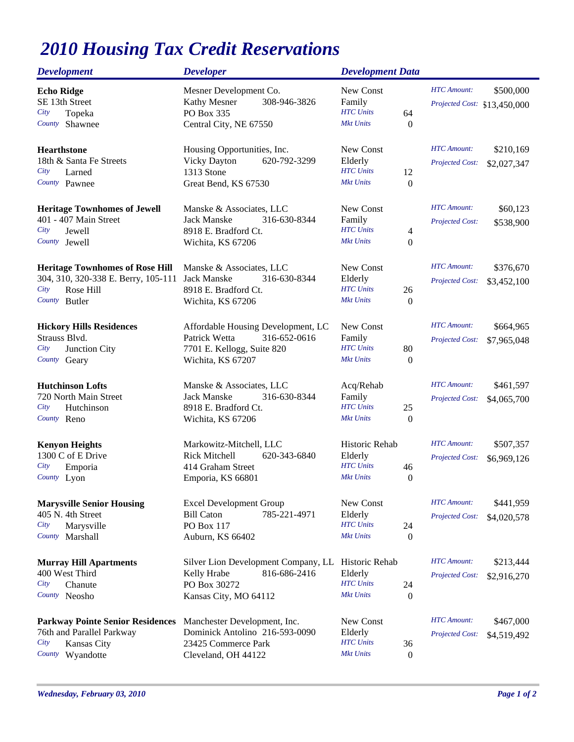## *2010 Housing Tax Credit Reservations*

| <b>Development</b>                      | <b>Developer</b>                     | <b>Development Data</b>              |                                       |
|-----------------------------------------|--------------------------------------|--------------------------------------|---------------------------------------|
| <b>Echo Ridge</b>                       | Mesner Development Co.               | New Const                            | <b>HTC</b> Amount:<br>\$500,000       |
| SE 13th Street                          | Kathy Mesner<br>308-946-3826         | Family                               | Projected Cost: \$13,450,000          |
| City<br>Topeka                          | PO Box 335                           | <b>HTC</b> Units<br>64               |                                       |
| Shawnee<br>County                       | Central City, NE 67550               | <b>Mkt Units</b><br>$\boldsymbol{0}$ |                                       |
| <b>Hearthstone</b>                      | Housing Opportunities, Inc.          | New Const                            | <b>HTC</b> Amount:<br>\$210,169       |
| 18th & Santa Fe Streets                 | <b>Vicky Dayton</b><br>620-792-3299  | Elderly                              | <b>Projected Cost:</b><br>\$2,027,347 |
| City<br>Larned                          | 1313 Stone                           | <b>HTC</b> Units<br>12               |                                       |
| County Pawnee                           | Great Bend, KS 67530                 | <b>Mkt Units</b><br>$\boldsymbol{0}$ |                                       |
| <b>Heritage Townhomes of Jewell</b>     | Manske & Associates, LLC             | New Const                            | <b>HTC</b> Amount:<br>\$60,123        |
| 401 - 407 Main Street                   | Jack Manske<br>316-630-8344          | Family                               | Projected Cost:<br>\$538,900          |
| City<br>Jewell                          | 8918 E. Bradford Ct.                 | <b>HTC</b> Units<br>4                |                                       |
| County Jewell                           | Wichita, KS 67206                    | <b>Mkt Units</b><br>$\boldsymbol{0}$ |                                       |
| <b>Heritage Townhomes of Rose Hill</b>  | Manske & Associates, LLC             | New Const                            | <b>HTC</b> Amount:<br>\$376,670       |
| 304, 310, 320-338 E. Berry, 105-111     | Jack Manske<br>316-630-8344          | Elderly                              | Projected Cost:<br>\$3,452,100        |
| City<br>Rose Hill                       | 8918 E. Bradford Ct.                 | <b>HTC</b> Units<br>26               |                                       |
| <b>Butler</b><br>County                 | Wichita, KS 67206                    | <b>Mkt Units</b><br>$\boldsymbol{0}$ |                                       |
| <b>Hickory Hills Residences</b>         | Affordable Housing Development, LC   | New Const                            | <b>HTC</b> Amount:<br>\$664,965       |
| Strauss Blvd.                           | Patrick Wetta<br>316-652-0616        | Family                               | <b>Projected Cost:</b><br>\$7,965,048 |
| City<br>Junction City                   | 7701 E. Kellogg, Suite 820           | <b>HTC</b> Units<br>80               |                                       |
| County<br>Geary                         | Wichita, KS 67207                    | <b>Mkt Units</b><br>$\boldsymbol{0}$ |                                       |
| <b>Hutchinson Lofts</b>                 | Manske & Associates, LLC             | Acq/Rehab                            | <b>HTC</b> Amount:<br>\$461,597       |
| 720 North Main Street                   | <b>Jack Manske</b><br>316-630-8344   | Family                               | <b>Projected Cost:</b><br>\$4,065,700 |
| City<br>Hutchinson                      | 8918 E. Bradford Ct.                 | <b>HTC</b> Units<br>25               |                                       |
| County Reno                             | Wichita, KS 67206                    | <b>Mkt Units</b><br>$\boldsymbol{0}$ |                                       |
| <b>Kenyon Heights</b>                   | Markowitz-Mitchell, LLC              | Historic Rehab                       | <b>HTC</b> Amount:<br>\$507,357       |
| 1300 C of E Drive                       | <b>Rick Mitchell</b><br>620-343-6840 | Elderly                              | Projected Cost:<br>\$6,969,126        |
| City<br>Emporia                         | 414 Graham Street                    | <b>HTC</b> Units<br>46               |                                       |
| County Lyon                             | Emporia, KS 66801                    | <b>Mkt Units</b><br>$\boldsymbol{0}$ |                                       |
| <b>Marysville Senior Housing</b>        | <b>Excel Development Group</b>       | New Const                            | <b>HTC</b> Amount:<br>\$441,959       |
| 405 N. 4th Street                       | <b>Bill Caton</b><br>785-221-4971    | Elderly                              | <b>Projected Cost:</b><br>\$4,020,578 |
| Marysville<br>City                      | PO Box 117                           | <b>HTC</b> Units<br>24               |                                       |
| Marshall<br>County                      | Auburn, KS 66402                     | <b>Mkt Units</b><br>$\mathbf{0}$     |                                       |
| <b>Murray Hill Apartments</b>           | Silver Lion Development Company, LL  | Historic Rehab                       | <b>HTC</b> Amount:<br>\$213,444       |
| 400 West Third                          | Kelly Hrabe<br>816-686-2416          | Elderly                              | <b>Projected Cost:</b><br>\$2,916,270 |
| City<br>Chanute                         | PO Box 30272                         | <b>HTC</b> Units<br>24               |                                       |
| Neosho<br>County                        | Kansas City, MO 64112                | <b>Mkt Units</b><br>$\boldsymbol{0}$ |                                       |
| <b>Parkway Pointe Senior Residences</b> | Manchester Development, Inc.         | New Const                            | <b>HTC</b> Amount:<br>\$467,000       |
| 76th and Parallel Parkway               | Dominick Antolino 216-593-0090       | Elderly                              | <b>Projected Cost:</b><br>\$4,519,492 |
| City<br>Kansas City                     | 23425 Commerce Park                  | <b>HTC</b> Units<br>36               |                                       |
| County<br>Wyandotte                     | Cleveland, OH 44122                  | <b>Mkt Units</b><br>$\boldsymbol{0}$ |                                       |